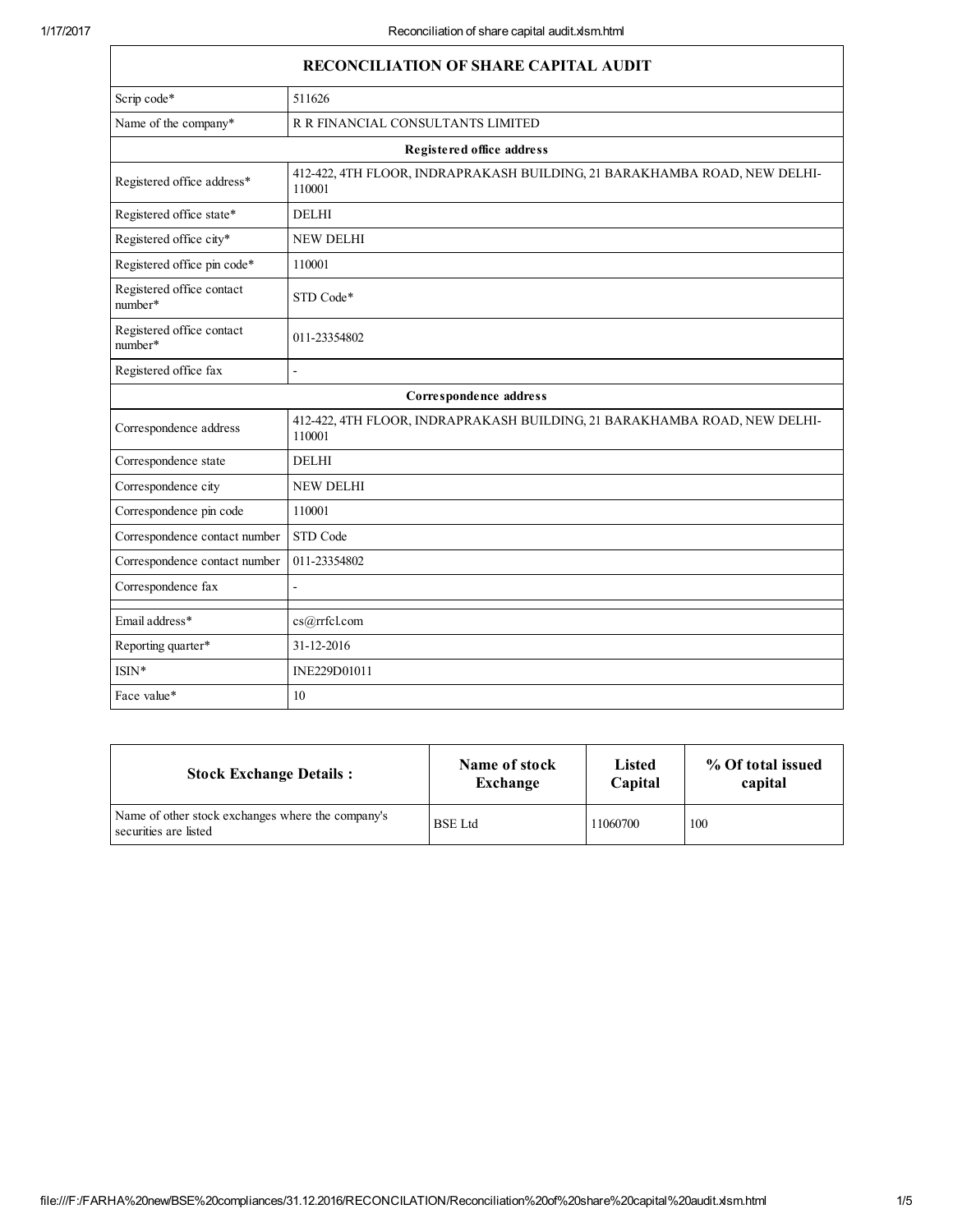| <b>RECONCILIATION OF SHARE CAPITAL AUDIT</b> |                                                                                     |  |
|----------------------------------------------|-------------------------------------------------------------------------------------|--|
| Scrip code*                                  | 511626                                                                              |  |
| Name of the company*                         | R R FINANCIAL CONSULTANTS LIMITED                                                   |  |
|                                              | <b>Registered office address</b>                                                    |  |
| Registered office address*                   | 412-422, 4TH FLOOR, INDRAPRAKASH BUILDING, 21 BARAKHAMBA ROAD, NEW DELHI-<br>110001 |  |
| Registered office state*                     | <b>DELHI</b>                                                                        |  |
| Registered office city*                      | <b>NEW DELHI</b>                                                                    |  |
| Registered office pin code*                  | 110001                                                                              |  |
| Registered office contact<br>number*         | STD Code*                                                                           |  |
| Registered office contact<br>number*         | 011-23354802                                                                        |  |
| Registered office fax                        | $\overline{a}$                                                                      |  |
|                                              | Correspondence address                                                              |  |
| Correspondence address                       | 412-422, 4TH FLOOR, INDRAPRAKASH BUILDING, 21 BARAKHAMBA ROAD, NEW DELHI-<br>110001 |  |
| Correspondence state                         | <b>DELHI</b>                                                                        |  |
| Correspondence city                          | <b>NEW DELHI</b>                                                                    |  |
| Correspondence pin code                      | 110001                                                                              |  |
| Correspondence contact number                | STD Code                                                                            |  |
| Correspondence contact number                | 011-23354802                                                                        |  |
| Correspondence fax                           |                                                                                     |  |
| Email address*                               | cs@rrfcl.com                                                                        |  |
| Reporting quarter*                           | 31-12-2016                                                                          |  |
| ISIN*                                        | INE229D01011                                                                        |  |
| Face value*                                  | 10                                                                                  |  |

| <b>Stock Exchange Details:</b>                                             | Name of stock  | <b>Listed</b> | % Of total issued |
|----------------------------------------------------------------------------|----------------|---------------|-------------------|
|                                                                            | Exchange       | Capital       | capital           |
| Name of other stock exchanges where the company's<br>securities are listed | <b>BSE</b> Ltd | 11060700      | 100               |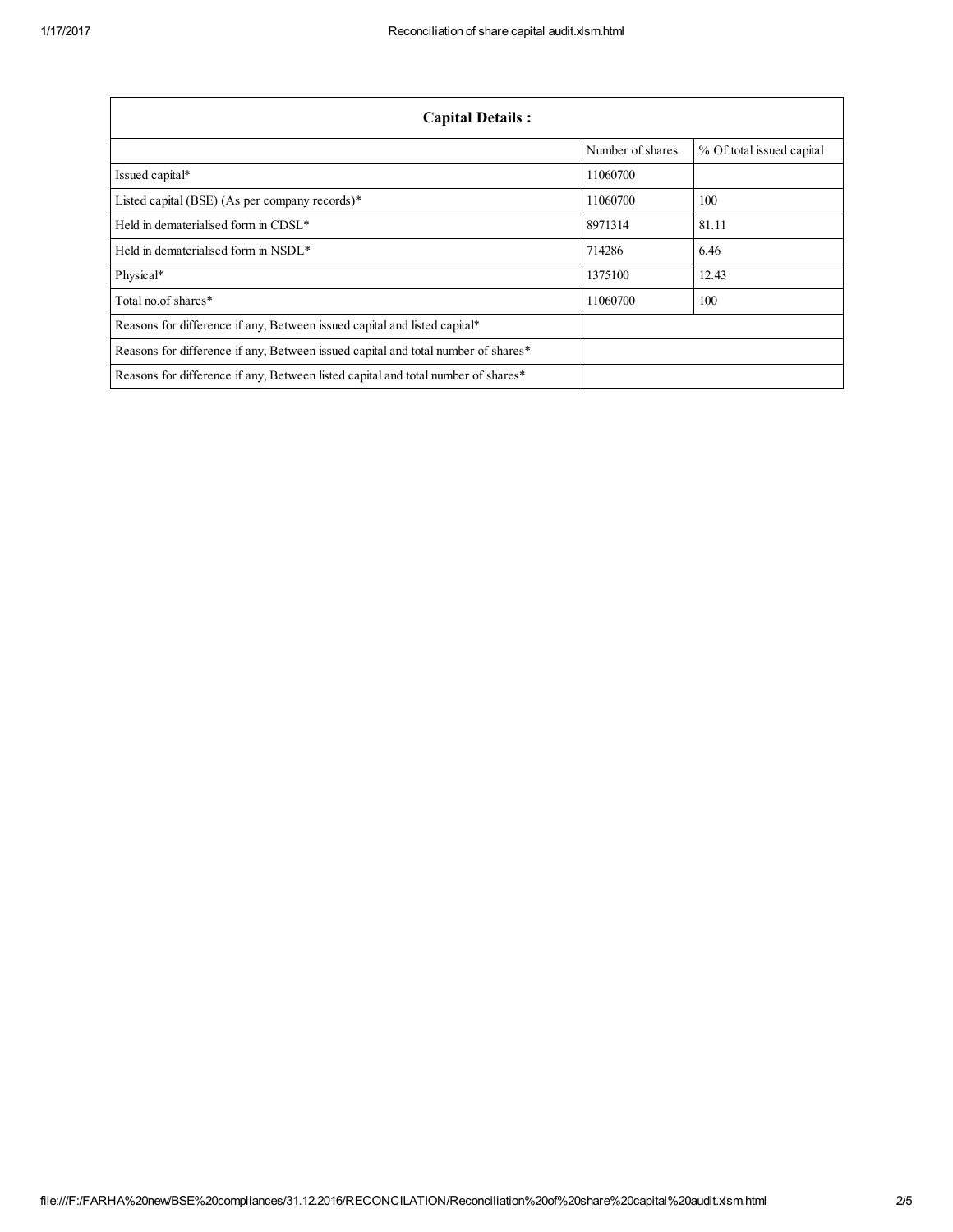| <b>Capital Details:</b>                                                           |                  |                           |  |
|-----------------------------------------------------------------------------------|------------------|---------------------------|--|
|                                                                                   | Number of shares | % Of total issued capital |  |
| Issued capital*                                                                   | 11060700         |                           |  |
| Listed capital (BSE) (As per company records)*                                    | 11060700         | 100                       |  |
| Held in dematerialised form in CDSL*                                              | 8971314          | 81.11                     |  |
| Held in dematerialised form in NSDL*                                              | 714286           | 6.46                      |  |
| Physical*                                                                         | 1375100          | 12.43                     |  |
| Total no. of shares*                                                              | 11060700         | 100                       |  |
| Reasons for difference if any, Between issued capital and listed capital*         |                  |                           |  |
| Reasons for difference if any, Between issued capital and total number of shares* |                  |                           |  |
| Reasons for difference if any, Between listed capital and total number of shares* |                  |                           |  |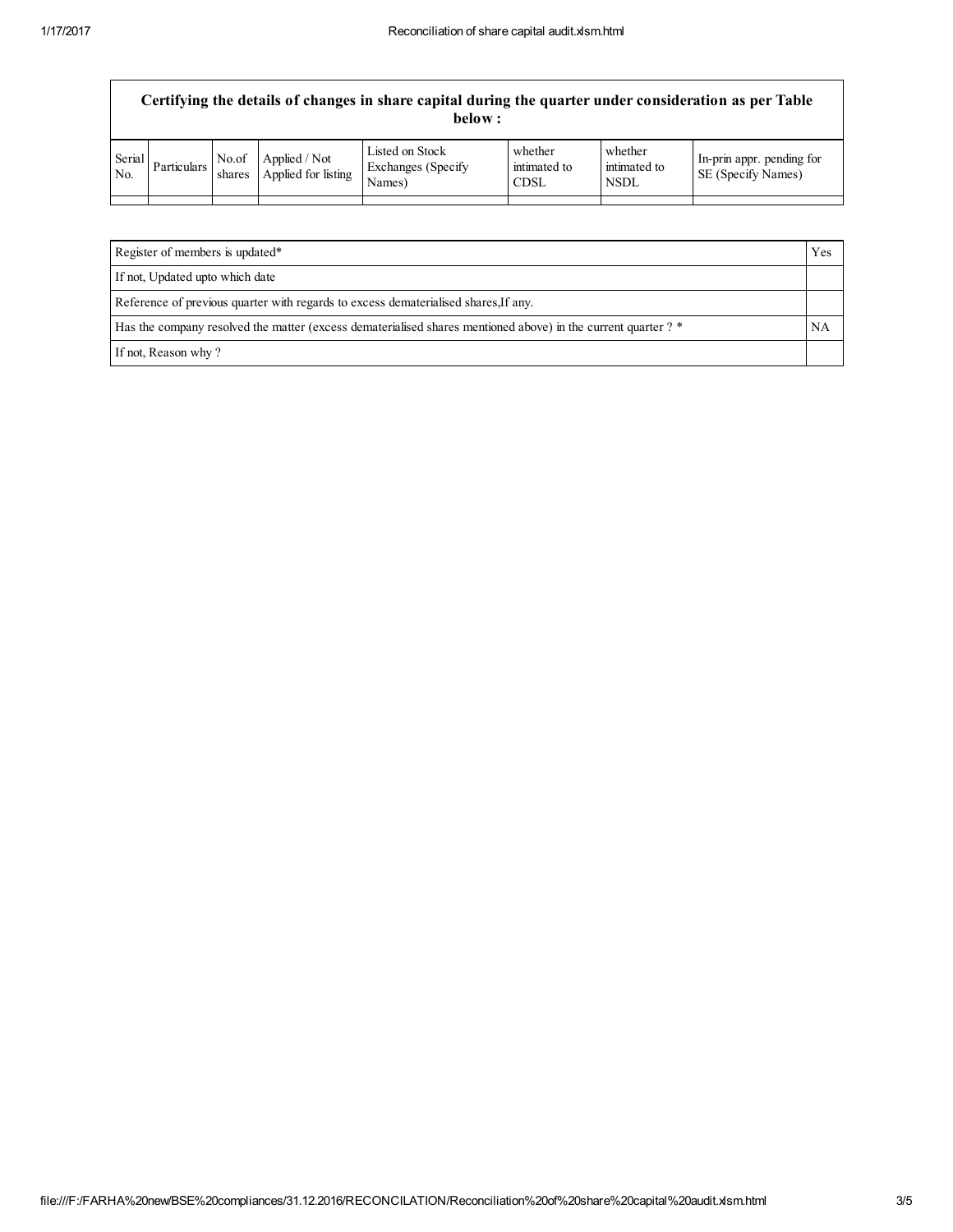## Certifying the details of changes in share capital during the quarter under consideration as per Table below :

| Serial<br>No. | <b>Particulars</b> | No.of<br>shares | Applied / Not<br>Applied for listing | Listed on Stock<br>Exchanges (Specify)<br>Names) | whether<br>intimated to<br>CDSL | whether<br>intimated to<br><b>NSDL</b> | In-prin appr. pending for<br><b>SE</b> (Specify Names) |
|---------------|--------------------|-----------------|--------------------------------------|--------------------------------------------------|---------------------------------|----------------------------------------|--------------------------------------------------------|
|               |                    |                 |                                      |                                                  |                                 |                                        |                                                        |

| Register of members is updated*                                                                               |  |
|---------------------------------------------------------------------------------------------------------------|--|
| If not, Updated upto which date                                                                               |  |
| Reference of previous quarter with regards to excess dematerialised shares, If any.                           |  |
| Has the company resolved the matter (excess dematerialised shares mentioned above) in the current quarter ? * |  |
| If not, Reason why?                                                                                           |  |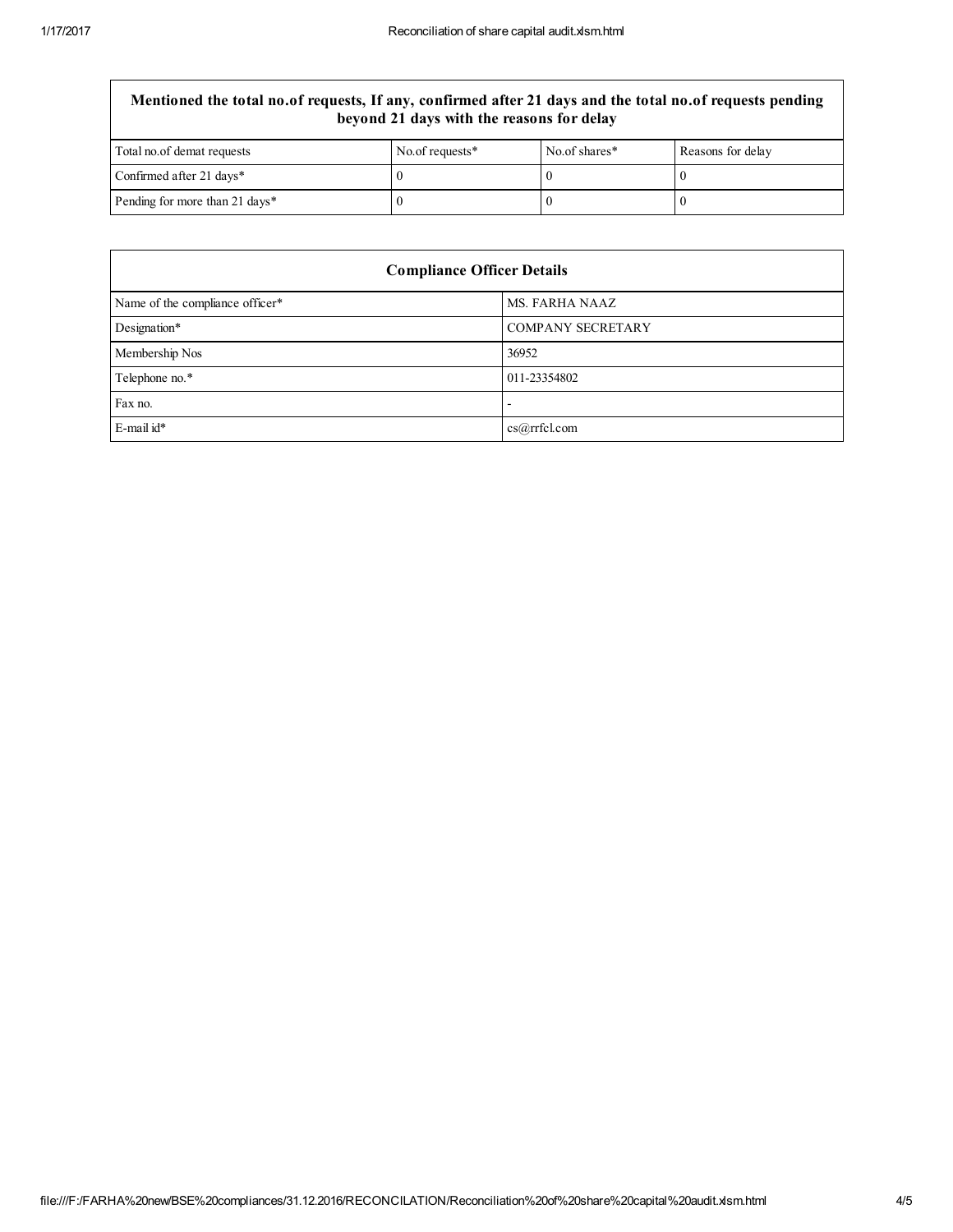## Mentioned the total no.of requests, If any, confirmed after 21 days and the total no.of requests pending beyond 21 days with the reasons for delay

| Total no. of demat requests    | No.of requests* | No.of shares* | Reasons for delay |
|--------------------------------|-----------------|---------------|-------------------|
| Confirmed after 21 days*       |                 |               |                   |
| Pending for more than 21 days* |                 |               |                   |

| <b>Compliance Officer Details</b> |                   |  |
|-----------------------------------|-------------------|--|
| Name of the compliance officer*   | MS. FARHA NAAZ    |  |
| Designation*                      | COMPANY SECRETARY |  |
| Membership Nos                    | 36952             |  |
| Telephone no.*                    | 011-23354802      |  |
| Fax no.                           |                   |  |
| $E$ -mail id*                     | cs@rrfcl.com      |  |